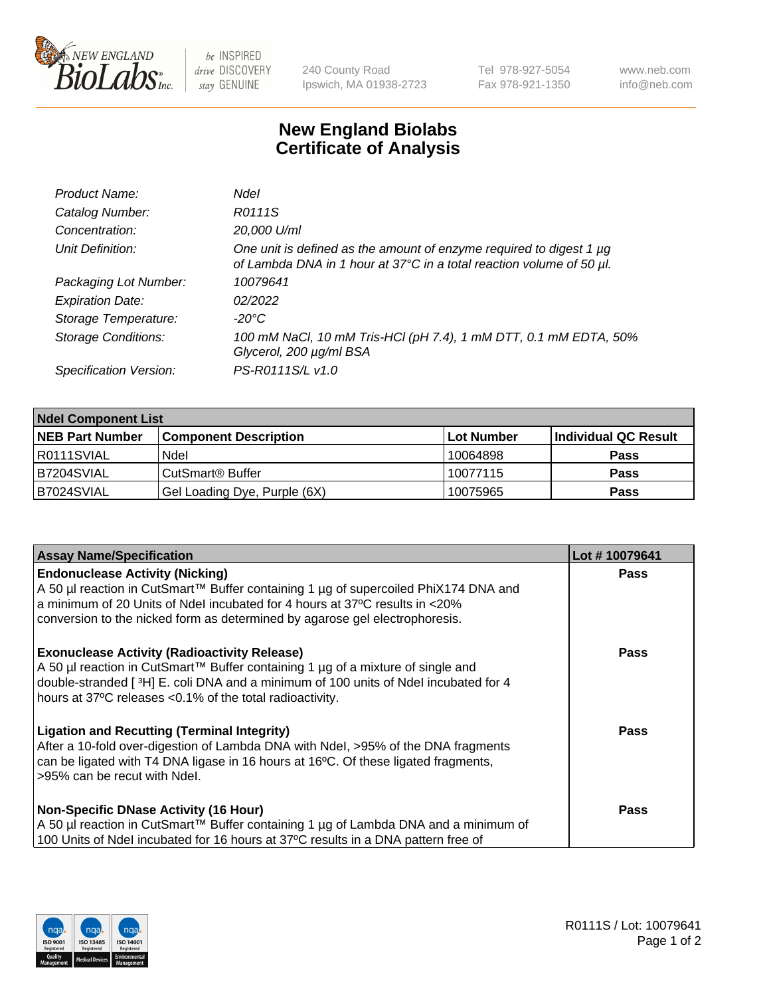

 $be$  INSPIRED drive DISCOVERY stay GENUINE

240 County Road Ipswich, MA 01938-2723 Tel 978-927-5054 Fax 978-921-1350 www.neb.com info@neb.com

## **New England Biolabs Certificate of Analysis**

| Product Name:              | <b>Ndel</b>                                                                                                                                 |
|----------------------------|---------------------------------------------------------------------------------------------------------------------------------------------|
| Catalog Number:            | R0111S                                                                                                                                      |
| Concentration:             | 20,000 U/ml                                                                                                                                 |
| Unit Definition:           | One unit is defined as the amount of enzyme required to digest 1 µg<br>of Lambda DNA in 1 hour at 37°C in a total reaction volume of 50 µl. |
| Packaging Lot Number:      | 10079641                                                                                                                                    |
| <b>Expiration Date:</b>    | 02/2022                                                                                                                                     |
| Storage Temperature:       | $-20^{\circ}$ C                                                                                                                             |
| <b>Storage Conditions:</b> | 100 mM NaCl, 10 mM Tris-HCl (pH 7.4), 1 mM DTT, 0.1 mM EDTA, 50%<br>Glycerol, 200 µg/ml BSA                                                 |
| Specification Version:     | PS-R0111S/L v1.0                                                                                                                            |

| <b>Ndel Component List</b> |                              |                   |                      |  |  |
|----------------------------|------------------------------|-------------------|----------------------|--|--|
| <b>NEB Part Number</b>     | <b>Component Description</b> | <b>Lot Number</b> | Individual QC Result |  |  |
| R0111SVIAL                 | Ndel                         | 10064898          | <b>Pass</b>          |  |  |
| B7204SVIAL                 | CutSmart <sup>®</sup> Buffer | 10077115          | <b>Pass</b>          |  |  |
| B7024SVIAL                 | Gel Loading Dye, Purple (6X) | 10075965          | <b>Pass</b>          |  |  |

| <b>Assay Name/Specification</b>                                                                                                                                                                                                                                                             | Lot #10079641 |
|---------------------------------------------------------------------------------------------------------------------------------------------------------------------------------------------------------------------------------------------------------------------------------------------|---------------|
| <b>Endonuclease Activity (Nicking)</b><br>A 50 µl reaction in CutSmart™ Buffer containing 1 µg of supercoiled PhiX174 DNA and                                                                                                                                                               | <b>Pass</b>   |
| a minimum of 20 Units of Ndel incubated for 4 hours at 37°C results in <20%<br>conversion to the nicked form as determined by agarose gel electrophoresis.                                                                                                                                  |               |
| <b>Exonuclease Activity (Radioactivity Release)</b><br>  A 50 µl reaction in CutSmart™ Buffer containing 1 µg of a mixture of single and<br>double-stranded [3H] E. coli DNA and a minimum of 100 units of Ndel incubated for 4<br>hours at 37°C releases <0.1% of the total radioactivity. | Pass          |
| <b>Ligation and Recutting (Terminal Integrity)</b><br>After a 10-fold over-digestion of Lambda DNA with Ndel, >95% of the DNA fragments<br>can be ligated with T4 DNA ligase in 16 hours at 16 $\degree$ C. Of these ligated fragments,<br>l >95% can be recut with Ndel.                   | Pass          |
| <b>Non-Specific DNase Activity (16 Hour)</b><br>A 50 µl reaction in CutSmart™ Buffer containing 1 µg of Lambda DNA and a minimum of                                                                                                                                                         | Pass          |
| 100 Units of Ndel incubated for 16 hours at 37°C results in a DNA pattern free of                                                                                                                                                                                                           |               |